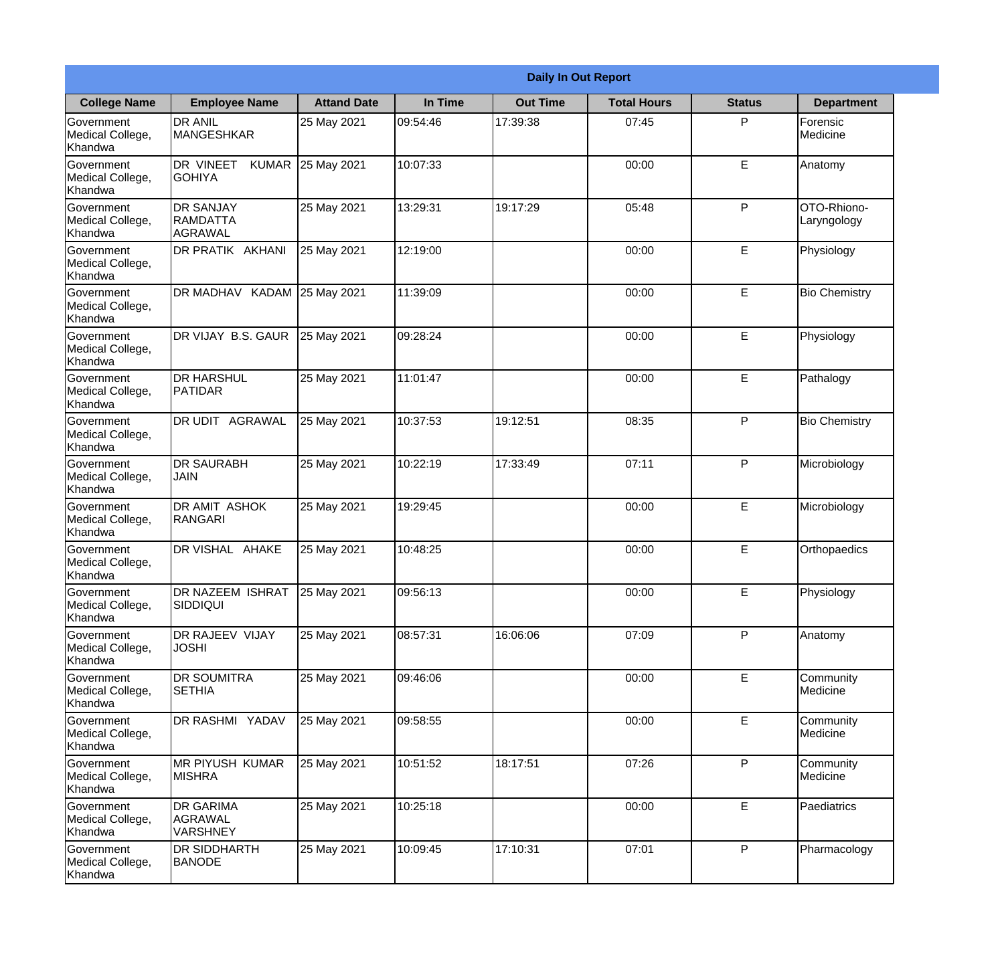|                                                  |                                                       |                    | <b>Daily In Out Report</b> |                 |                    |               |                            |
|--------------------------------------------------|-------------------------------------------------------|--------------------|----------------------------|-----------------|--------------------|---------------|----------------------------|
| <b>College Name</b>                              | <b>Employee Name</b>                                  | <b>Attand Date</b> | In Time                    | <b>Out Time</b> | <b>Total Hours</b> | <b>Status</b> | <b>Department</b>          |
| Government<br>Medical College,<br>Khandwa        | <b>DR ANIL</b><br>MANGESHKAR                          | 25 May 2021        | 09:54:46                   | 17:39:38        | 07:45              | P             | Forensic<br>Medicine       |
| Government<br>Medical College,<br>Khandwa        | DR VINEET<br><b>KUMAR</b><br><b>GOHIYA</b>            | 25 May 2021        | 10:07:33                   |                 | 00:00              | $\mathsf E$   | Anatomy                    |
| Government<br>Medical College,<br>Khandwa        | <b>DR SANJAY</b><br><b>RAMDATTA</b><br><b>AGRAWAL</b> | 25 May 2021        | 13:29:31                   | 19:17:29        | 05:48              | P             | OTO-Rhiono-<br>Laryngology |
| <b>Government</b><br>Medical College,<br>Khandwa | DR PRATIK AKHANI                                      | 25 May 2021        | 12:19:00                   |                 | 00:00              | E             | Physiology                 |
| Government<br>Medical College,<br>Khandwa        | DR MADHAV KADAM                                       | 25 May 2021        | 11:39:09                   |                 | 00:00              | E             | <b>Bio Chemistry</b>       |
| Government<br>Medical College,<br>Khandwa        | DR VIJAY B.S. GAUR                                    | 25 May 2021        | 09:28:24                   |                 | 00:00              | $\mathsf E$   | Physiology                 |
| Government<br>Medical College,<br>Khandwa        | <b>DR HARSHUL</b><br>PATIDAR                          | 25 May 2021        | 11:01:47                   |                 | 00:00              | E             | Pathalogy                  |
| Government<br>Medical College,<br>Khandwa        | DR UDIT AGRAWAL                                       | 25 May 2021        | 10:37:53                   | 19:12:51        | 08:35              | P             | <b>Bio Chemistry</b>       |
| Government<br>Medical College,<br>Khandwa        | <b>DR SAURABH</b><br><b>JAIN</b>                      | 25 May 2021        | 10:22:19                   | 17:33:49        | 07:11              | P             | Microbiology               |
| Government<br>Medical College,<br>Khandwa        | DR AMIT ASHOK<br><b>RANGARI</b>                       | 25 May 2021        | 19:29:45                   |                 | 00:00              | $\mathsf E$   | Microbiology               |
| Government<br>Medical College,<br>Khandwa        | DR VISHAL AHAKE                                       | 25 May 2021        | 10:48:25                   |                 | 00:00              | E             | Orthopaedics               |
| Government<br>Medical College,<br>Khandwa        | <b>DR NAZEEM ISHRAT</b><br><b>SIDDIQUI</b>            | 25 May 2021        | 09:56:13                   |                 | 00:00              | E             | Physiology                 |
| Government<br>Medical College,<br>Khandwa        | DR RAJEEV VIJAY<br><b>JOSHI</b>                       | 25 May 2021        | 08:57:31                   | 16:06:06        | 07:09              | P             | Anatomy                    |
| Government<br>Medical College,<br>Khandwa        | DR SOUMITRA<br><b>SETHIA</b>                          | 25 May 2021        | 09:46:06                   |                 | 00:00              | $\mathsf E$   | Community<br>Medicine      |
| Government<br>Medical College,<br>Khandwa        | DR RASHMI YADAV                                       | 25 May 2021        | 09:58:55                   |                 | 00:00              | E             | Community<br>Medicine      |
| Government<br>Medical College,<br>Khandwa        | MR PIYUSH KUMAR<br><b>MISHRA</b>                      | 25 May 2021        | 10:51:52                   | 18:17:51        | 07:26              | P             | Community<br>Medicine      |
| Government<br>Medical College,<br>Khandwa        | DR GARIMA<br><b>AGRAWAL</b><br><b>VARSHNEY</b>        | 25 May 2021        | 10:25:18                   |                 | 00:00              | E             | Paediatrics                |
| Government<br>Medical College,<br>Khandwa        | DR SIDDHARTH<br><b>BANODE</b>                         | 25 May 2021        | 10:09:45                   | 17:10:31        | 07:01              | P             | Pharmacology               |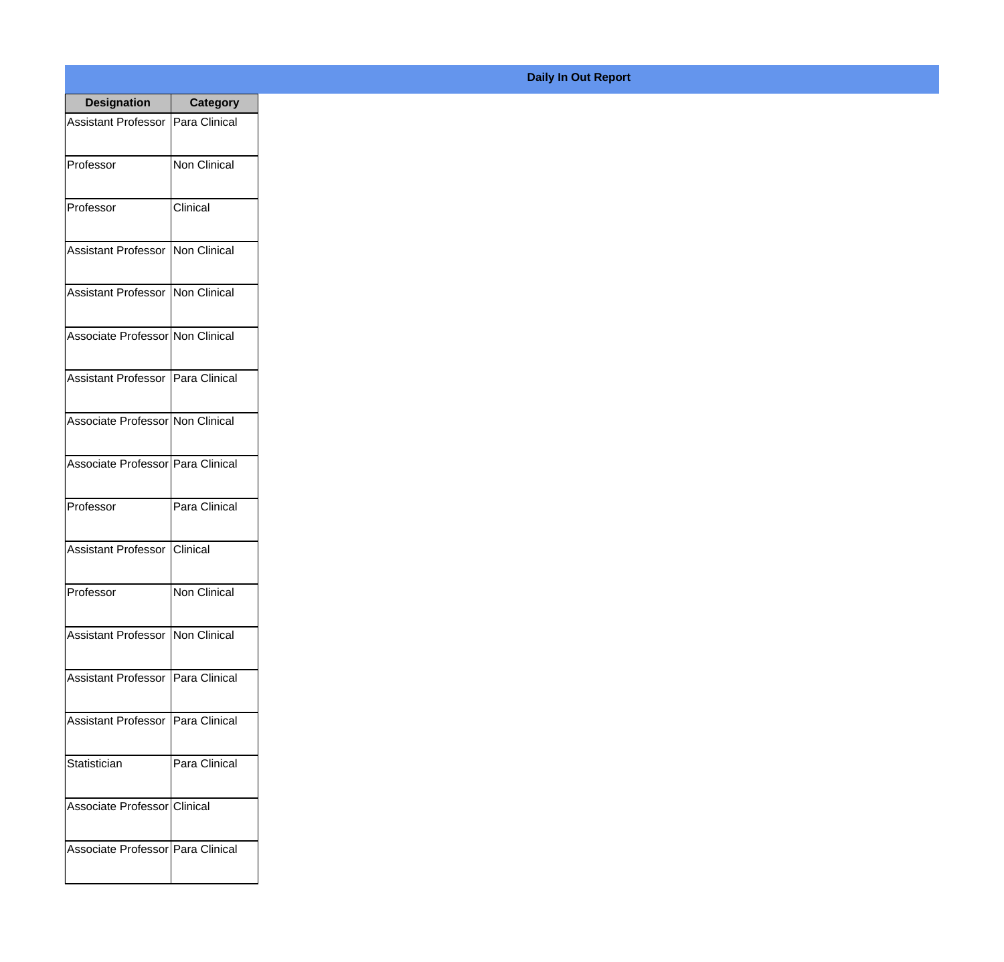| <b>Designation</b>                  | <b>Category</b>     |
|-------------------------------------|---------------------|
| Assistant Professor                 | Para Clinical       |
| Professor                           | <b>Non Clinical</b> |
| Professor                           | Clinical            |
| Assistant Professor   Non Clinical  |                     |
| Assistant Professor   Non Clinical  |                     |
| Associate Professor Non Clinical    |                     |
| Assistant Professor   Para Clinical |                     |
| Associate Professor Non Clinical    |                     |
| Associate Professor Para Clinical   |                     |
| Professor                           | Para Clinical       |
| Assistant Professor                 | <b>Clinical</b>     |
| Professor                           | Non Clinical        |
| <b>Assistant Professor</b>          | <b>Non Clinical</b> |
| <b>Assistant Professor</b>          | Para Clinical       |
| <b>Assistant Professor</b>          | Para Clinical       |
| Statistician                        | Para Clinical       |
| Associate Professor Clinical        |                     |
| Associate Professor   Para Clinical |                     |

## **Daily In Out Report**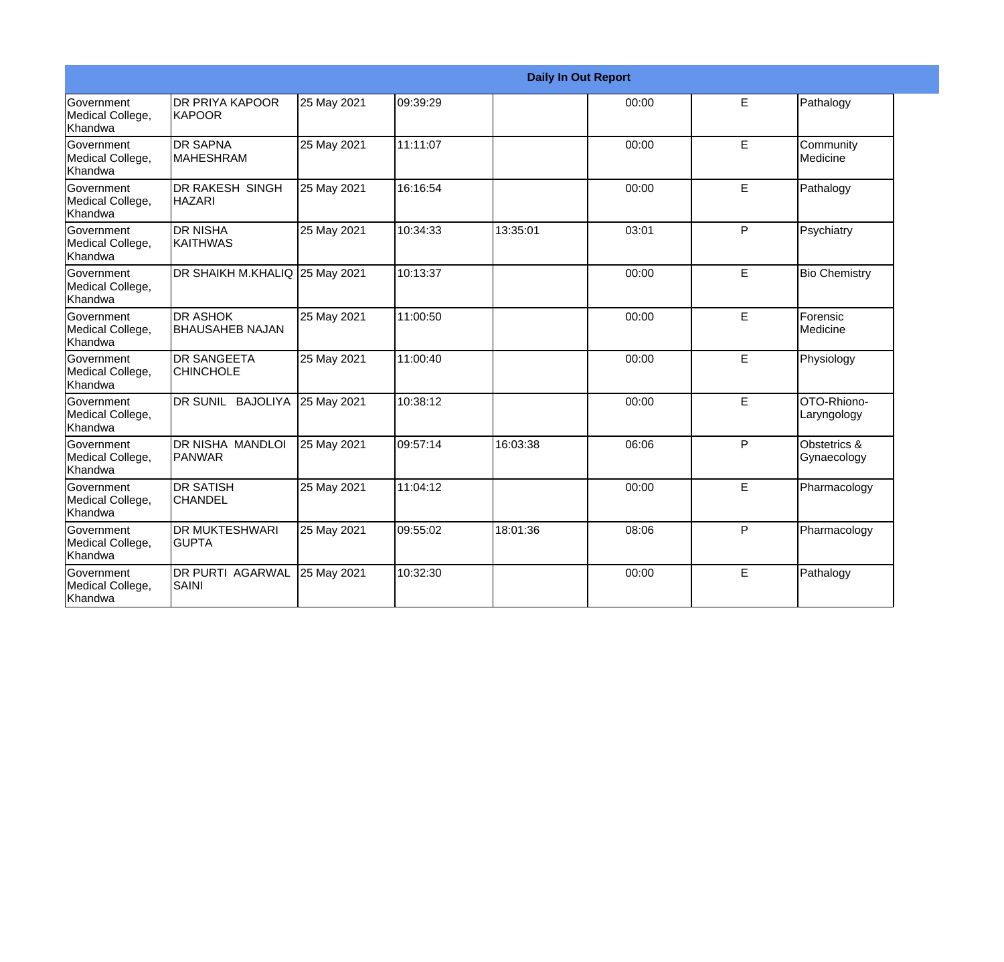|                                                         |                                           |             |          | <b>Daily In Out Report</b> |       |              |                             |
|---------------------------------------------------------|-------------------------------------------|-------------|----------|----------------------------|-------|--------------|-----------------------------|
| Government<br>Medical College,<br>Khandwa               | <b>DR PRIYA KAPOOR</b><br>KAPOOR          | 25 May 2021 | 09:39:29 |                            | 00:00 | E            | Pathalogy                   |
| <b>Government</b><br>Medical College,<br>Khandwa        | <b>DR SAPNA</b><br><b>MAHESHRAM</b>       | 25 May 2021 | 11:11:07 |                            | 00:00 | E            | Community<br>Medicine       |
| <b>Government</b><br>Medical College,<br>Khandwa        | <b>DR RAKESH SINGH</b><br><b>HAZARI</b>   | 25 May 2021 | 16:16:54 |                            | 00:00 | E            | Pathalogy                   |
| <b>Government</b><br>Medical College,<br>Khandwa        | <b>DR NISHA</b><br><b>KAITHWAS</b>        | 25 May 2021 | 10:34:33 | 13:35:01                   | 03:01 | P            | Psychiatry                  |
| <b>Government</b><br>Medical College,<br>Khandwa        | DR SHAIKH M.KHALIQ 25 May 2021            |             | 10:13:37 |                            | 00:00 | E            | <b>Bio Chemistry</b>        |
| <b>Government</b><br>Medical College,<br>Khandwa        | <b>DR ASHOK</b><br><b>BHAUSAHEB NAJAN</b> | 25 May 2021 | 11:00:50 |                            | 00:00 | E            | Forensic<br><b>Medicine</b> |
| Government<br>Medical College,<br>Khandwa               | <b>DR SANGEETA</b><br><b>CHINCHOLE</b>    | 25 May 2021 | 11:00:40 |                            | 00:00 | E            | Physiology                  |
| <b>Government</b><br>Medical College,<br><b>Khandwa</b> | DR SUNIL BAJOLIYA                         | 25 May 2021 | 10:38:12 |                            | 00:00 | E            | OTO-Rhiono-<br>Laryngology  |
| <b>Government</b><br>Medical College,<br>Khandwa        | DR NISHA MANDLOI<br>PANWAR                | 25 May 2021 | 09:57:14 | 16:03:38                   | 06:06 | $\mathsf{P}$ | Obstetrics &<br>Gynaecology |
| <b>Government</b><br>Medical College,<br>Khandwa        | <b>DR SATISH</b><br><b>CHANDEL</b>        | 25 May 2021 | 11:04:12 |                            | 00:00 | E            | Pharmacology                |
| Government<br>Medical College,<br>Khandwa               | <b>DR MUKTESHWARI</b><br><b>GUPTA</b>     | 25 May 2021 | 09:55:02 | 18:01:36                   | 08:06 | $\mathsf{P}$ | Pharmacology                |
| Government<br>Medical College,<br>Khandwa               | <b>DR PURTI AGARWAL</b><br><b>SAINI</b>   | 25 May 2021 | 10:32:30 |                            | 00:00 | E            | Pathalogy                   |